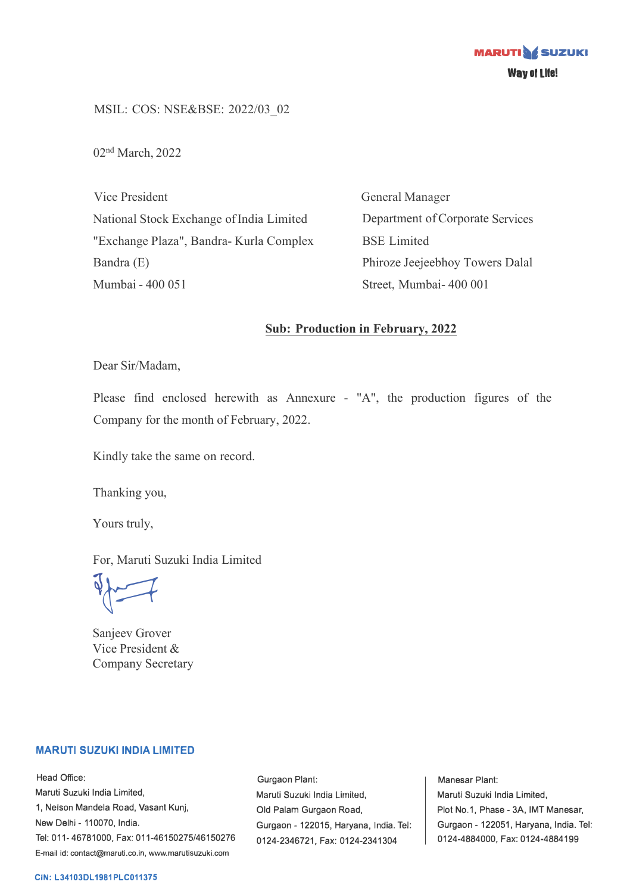MSIL: COS: NSE&BSE: 2022/03\_02

02 nd March, 2022

Vice President National Stock Exchange of India Limited "Exchange Plaza", Bandra- Kurla Complex Bandra (E) Mumbai - 400 051

General Manager Department of Corporate Services BSE Limited Phiroze Jeejeebhoy Towers Dalal Street, Mumbai- 400 001

## **Sub: Production in February, 2022**

Dear Sir/Madam,

Please find enclosed herewith as Annexure - "A", the production figures of the Company for the month of February, 2022.

Kindly take the same on record.

Thanking you,

Yours truly,

For, Maruti Suzuki India Limited

 $\sqrt{2}$ 

Sanjeev Grover Vice President & Company Secretary

## **MARUTI SUZUKI INDIA LIMITED**

Head Office: Maruti Suzuki India Limited, 1, Nelson Mandela Road, Vasant Kunj, New Delhi - 110070, India. Tel: 011-46781000, Fax: 011-46150275/46150276 E-mail id: contact@maruti.co.in, www.marutisuzuki.com

Gurgaon Plant: Maruli Suzuki India Lirniled, Old Palam Gurgaon Road, Gurgaon - 122015, Haryana, India. Tel: 0124-2346721, Fax: 0124-2341304

Manesar Plant: Maruti Suzuki India Limited, Plot No.1, Phase - 3A, IMT Manesar, Gurgaon - 122051, Haryana, India. Tel: 0124-4884000, Fax: 0124-4884199

## **CIN: L34103DL1981PLC011375**